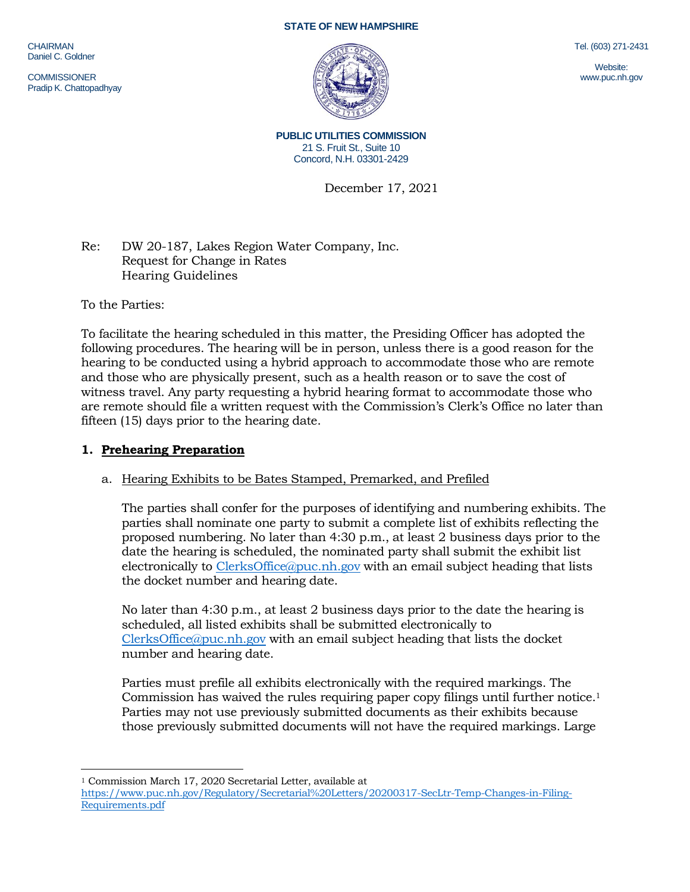CHAIRMAN Daniel C. Goldner

**COMMISSIONER** Pradip K. Chattopadhyay

#### **STATE OF NEW HAMPSHIRE**



Tel. (603) 271-2431

Website: www.puc.nh.gov

**PUBLIC UTILITIES COMMISSION** 21 S. Fruit St., Suite 10 Concord, N.H. 03301-2429

December 17, 2021

Re: DW 20-187, Lakes Region Water Company, Inc. Request for Change in Rates Hearing Guidelines

To the Parties:

To facilitate the hearing scheduled in this matter, the Presiding Officer has adopted the following procedures. The hearing will be in person, unless there is a good reason for the hearing to be conducted using a hybrid approach to accommodate those who are remote and those who are physically present, such as a health reason or to save the cost of witness travel. Any party requesting a hybrid hearing format to accommodate those who are remote should file a written request with the Commission's Clerk's Office no later than fifteen (15) days prior to the hearing date.

## **1. Prehearing Preparation**

## a. Hearing Exhibits to be Bates Stamped, Premarked, and Prefiled

The parties shall confer for the purposes of identifying and numbering exhibits. The parties shall nominate one party to submit a complete list of exhibits reflecting the proposed numbering. No later than 4:30 p.m., at least 2 business days prior to the date the hearing is scheduled, the nominated party shall submit the exhibit list electronically to [ClerksOffice@puc.nh.gov](mailto:ClerksOffice@puc.nh.gov) with an email subject heading that lists the docket number and hearing date.

No later than 4:30 p.m., at least 2 business days prior to the date the hearing is scheduled, all listed exhibits shall be submitted electronically to [ClerksOffice@puc.nh.gov](mailto:Clerks.Office@puc.nh.gov) with an email subject heading that lists the docket number and hearing date.

Parties must prefile all exhibits electronically with the required markings. The Commission has waived the rules requiring paper copy filings until further notice. 1 Parties may not use previously submitted documents as their exhibits because those previously submitted documents will not have the required markings. Large

<sup>1</sup> Commission March 17, 2020 Secretarial Letter, available at

[https://www.puc.nh.gov/Regulatory/Secretarial%20Letters/20200317-SecLtr-Temp-Changes-in-Filing-](https://www.puc.nh.gov/Regulatory/Secretarial%20Letters/20200317-SecLtr-Temp-Changes-in-Filing-Requirements.pdf)[Requirements.pdf](https://www.puc.nh.gov/Regulatory/Secretarial%20Letters/20200317-SecLtr-Temp-Changes-in-Filing-Requirements.pdf)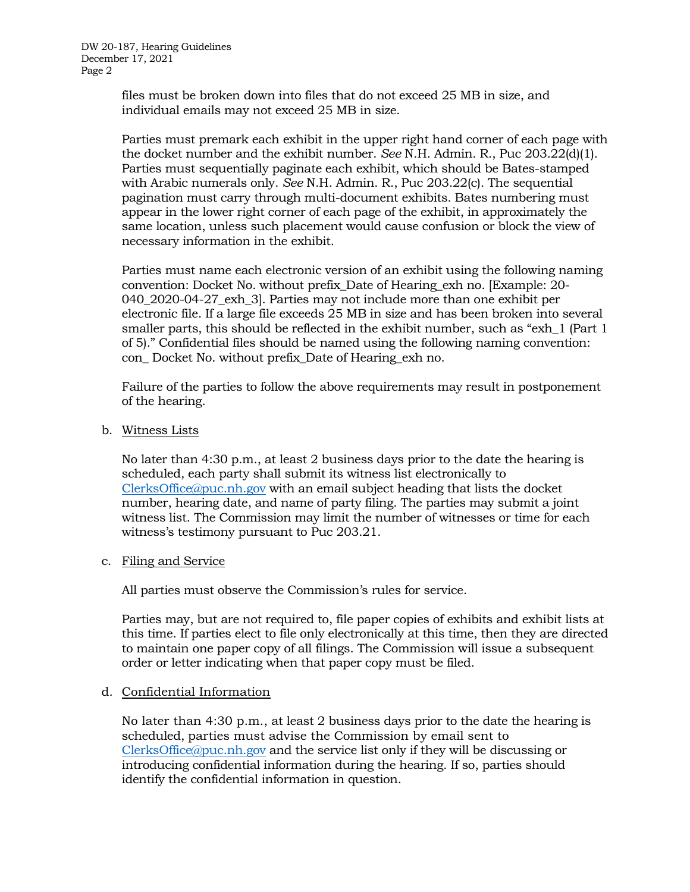files must be broken down into files that do not exceed 25 MB in size, and individual emails may not exceed 25 MB in size.

Parties must premark each exhibit in the upper right hand corner of each page with the docket number and the exhibit number. *See* N.H. Admin. R., Puc 203.22(d)(1). Parties must sequentially paginate each exhibit, which should be Bates-stamped with Arabic numerals only. *See* N.H. Admin. R., Puc 203.22(c). The sequential pagination must carry through multi-document exhibits. Bates numbering must appear in the lower right corner of each page of the exhibit, in approximately the same location, unless such placement would cause confusion or block the view of necessary information in the exhibit.

Parties must name each electronic version of an exhibit using the following naming convention: Docket No. without prefix\_Date of Hearing\_exh no. [Example: 20- 040\_2020-04-27\_exh\_3]. Parties may not include more than one exhibit per electronic file. If a large file exceeds 25 MB in size and has been broken into several smaller parts, this should be reflected in the exhibit number, such as "exh\_1 (Part 1 of 5)." Confidential files should be named using the following naming convention: con\_ Docket No. without prefix\_Date of Hearing\_exh no.

Failure of the parties to follow the above requirements may result in postponement of the hearing.

b. Witness Lists

No later than 4:30 p.m., at least 2 business days prior to the date the hearing is scheduled, each party shall submit its witness list electronically to [ClerksOffice@puc.nh.gov](mailto:Clerks.Office@puc.nh.gov) with an email subject heading that lists the docket number, hearing date, and name of party filing. The parties may submit a joint witness list. The Commission may limit the number of witnesses or time for each witness's testimony pursuant to Puc 203.21.

c. Filing and Service

All parties must observe the Commission's rules for service.

Parties may, but are not required to, file paper copies of exhibits and exhibit lists at this time. If parties elect to file only electronically at this time, then they are directed to maintain one paper copy of all filings. The Commission will issue a subsequent order or letter indicating when that paper copy must be filed.

### d. Confidential Information

No later than 4:30 p.m., at least 2 business days prior to the date the hearing is scheduled, parties must advise the Commission by email sent to [ClerksOffice@puc.nh.gov](mailto:Clerks.Office@puc.nh.gov) and the service list only if they will be discussing or introducing confidential information during the hearing. If so, parties should identify the confidential information in question.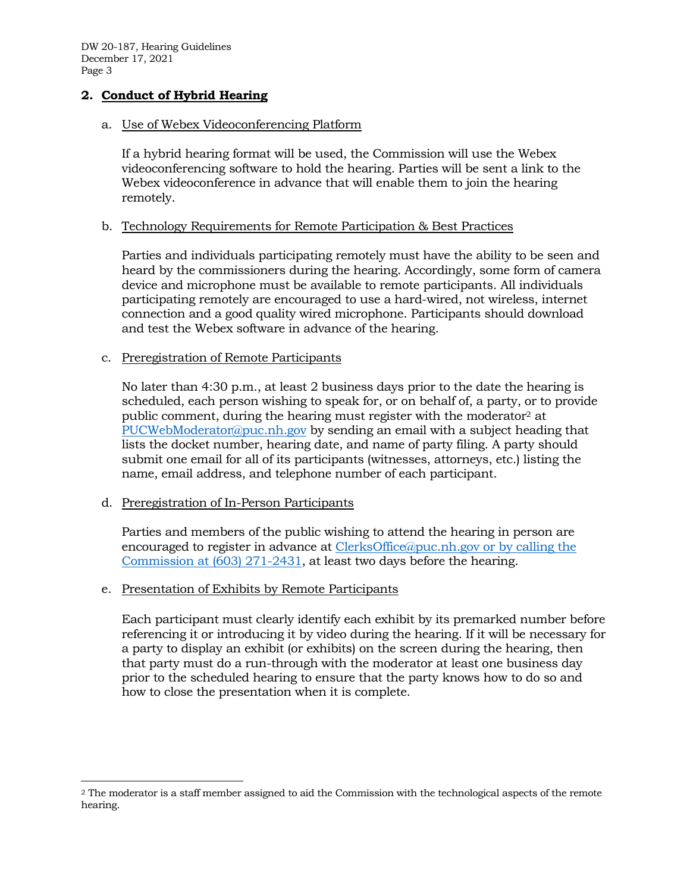DW 20-187, Hearing Guidelines December 17, 2021 Page 3

## **2. Conduct of Hybrid Hearing**

### a. Use of Webex Videoconferencing Platform

If a hybrid hearing format will be used, the Commission will use the Webex videoconferencing software to hold the hearing. Parties will be sent a link to the Webex videoconference in advance that will enable them to join the hearing remotely.

### b. Technology Requirements for Remote Participation & Best Practices

Parties and individuals participating remotely must have the ability to be seen and heard by the commissioners during the hearing. Accordingly, some form of camera device and microphone must be available to remote participants. All individuals participating remotely are encouraged to use a hard-wired, not wireless, internet connection and a good quality wired microphone. Participants should download and test the Webex software in advance of the hearing.

#### c. Preregistration of Remote Participants

No later than 4:30 p.m., at least 2 business days prior to the date the hearing is scheduled, each person wishing to speak for, or on behalf of, a party, or to provide public comment, during the hearing must register with the moderator<sup>2</sup> at [PUCWebModerator@puc.nh.gov](mailto:PUCWebModerator@puc.nh.gov) by sending an email with a subject heading that lists the docket number, hearing date, and name of party filing. A party should submit one email for all of its participants (witnesses, attorneys, etc.) listing the name, email address, and telephone number of each participant.

### d. Preregistration of In-Person Participants

Parties and members of the public wishing to attend the hearing in person are encouraged to register in advance at [ClerksOffice@puc.nh.gov](mailto:Clerks.Office@puc.nh.gov) or by calling the Commission at (603) 271-2431, at least two days before the hearing.

### e. Presentation of Exhibits by Remote Participants

Each participant must clearly identify each exhibit by its premarked number before referencing it or introducing it by video during the hearing. If it will be necessary for a party to display an exhibit (or exhibits) on the screen during the hearing, then that party must do a run-through with the moderator at least one business day prior to the scheduled hearing to ensure that the party knows how to do so and how to close the presentation when it is complete.

<sup>2</sup> The moderator is a staff member assigned to aid the Commission with the technological aspects of the remote hearing.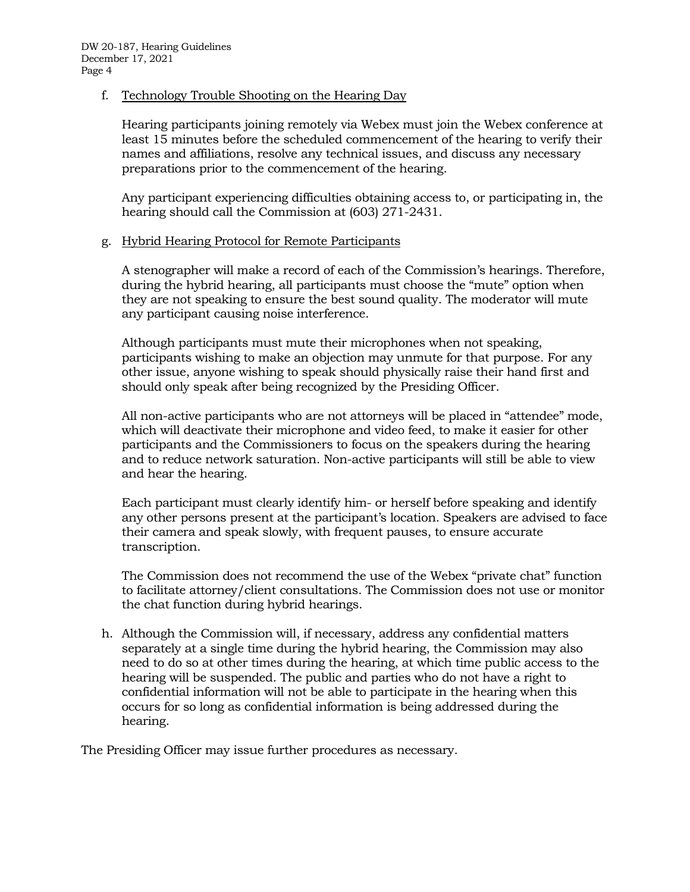## f. Technology Trouble Shooting on the Hearing Day

Hearing participants joining remotely via Webex must join the Webex conference at least 15 minutes before the scheduled commencement of the hearing to verify their names and affiliations, resolve any technical issues, and discuss any necessary preparations prior to the commencement of the hearing.

Any participant experiencing difficulties obtaining access to, or participating in, the hearing should call the Commission at (603) 271-2431.

## g. Hybrid Hearing Protocol for Remote Participants

A stenographer will make a record of each of the Commission's hearings. Therefore, during the hybrid hearing, all participants must choose the "mute" option when they are not speaking to ensure the best sound quality. The moderator will mute any participant causing noise interference.

Although participants must mute their microphones when not speaking, participants wishing to make an objection may unmute for that purpose. For any other issue, anyone wishing to speak should physically raise their hand first and should only speak after being recognized by the Presiding Officer.

All non-active participants who are not attorneys will be placed in "attendee" mode, which will deactivate their microphone and video feed, to make it easier for other participants and the Commissioners to focus on the speakers during the hearing and to reduce network saturation. Non-active participants will still be able to view and hear the hearing.

Each participant must clearly identify him- or herself before speaking and identify any other persons present at the participant's location. Speakers are advised to face their camera and speak slowly, with frequent pauses, to ensure accurate transcription.

The Commission does not recommend the use of the Webex "private chat" function to facilitate attorney/client consultations. The Commission does not use or monitor the chat function during hybrid hearings.

h. Although the Commission will, if necessary, address any confidential matters separately at a single time during the hybrid hearing, the Commission may also need to do so at other times during the hearing, at which time public access to the hearing will be suspended. The public and parties who do not have a right to confidential information will not be able to participate in the hearing when this occurs for so long as confidential information is being addressed during the hearing.

The Presiding Officer may issue further procedures as necessary.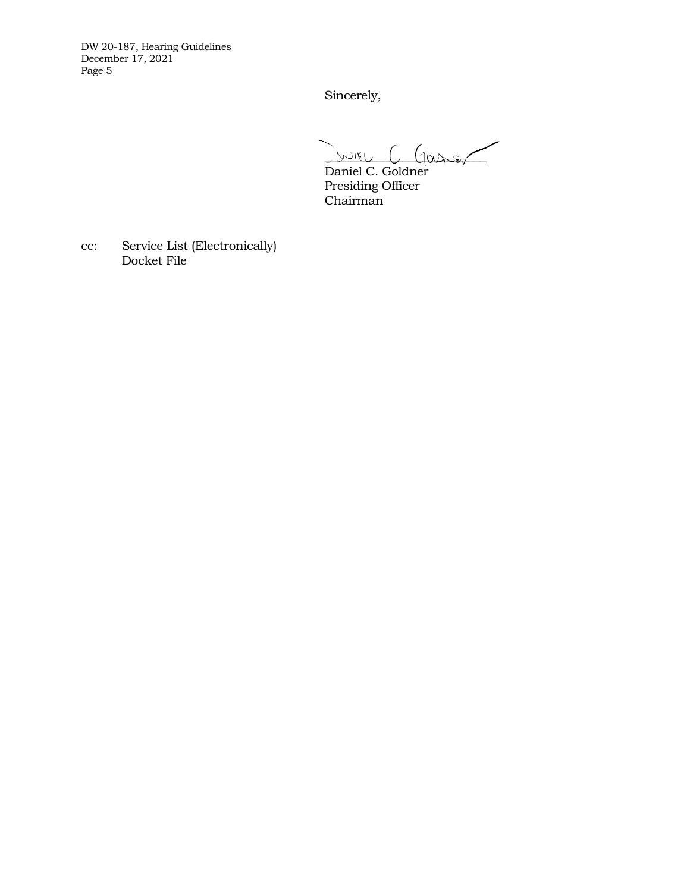DW 20-187, Hearing Guidelines December 17, 2021 Page 5

Sincerely,

 $\sqrt{3}$ NIEU (100  $\sqrt{2}$ 

Daniel C. Goldner Presiding Officer Chairman

cc: Service List (Electronically) Docket File